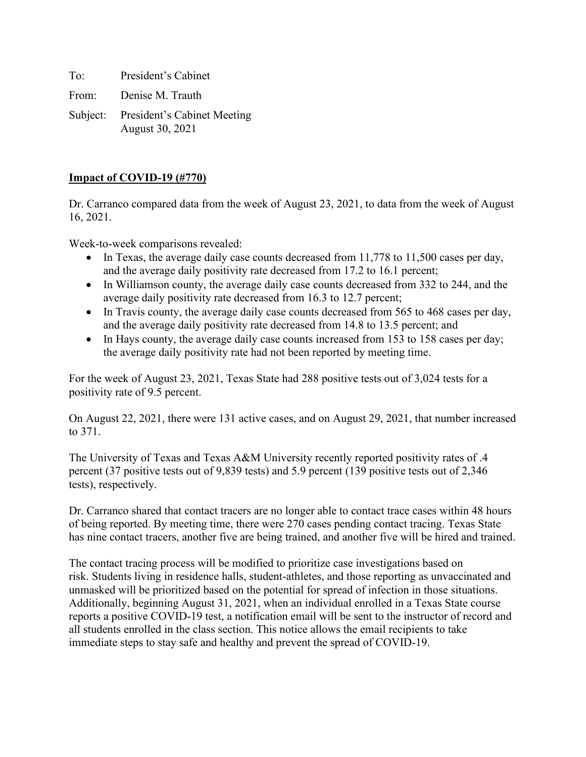To: President's Cabinet From: Denise M. Trauth

Subject: President's Cabinet Meeting August 30, 2021

# **Impact of COVID-19 (#770)**

Dr. Carranco compared data from the week of August 23, 2021, to data from the week of August 16, 2021.

Week-to-week comparisons revealed:

- In Texas, the average daily case counts decreased from 11,778 to 11,500 cases per day, and the average daily positivity rate decreased from 17.2 to 16.1 percent;
- In Williamson county, the average daily case counts decreased from 332 to 244, and the average daily positivity rate decreased from 16.3 to 12.7 percent;
- In Travis county, the average daily case counts decreased from 565 to 468 cases per day, and the average daily positivity rate decreased from 14.8 to 13.5 percent; and
- In Hays county, the average daily case counts increased from 153 to 158 cases per day; the average daily positivity rate had not been reported by meeting time.

For the week of August 23, 2021, Texas State had 288 positive tests out of 3,024 tests for a positivity rate of 9.5 percent.

On August 22, 2021, there were 131 active cases, and on August 29, 2021, that number increased to 371.

The University of Texas and Texas A&M University recently reported positivity rates of .4 percent (37 positive tests out of 9,839 tests) and 5.9 percent (139 positive tests out of 2,346 tests), respectively.

Dr. Carranco shared that contact tracers are no longer able to contact trace cases within 48 hours of being reported. By meeting time, there were 270 cases pending contact tracing. Texas State has nine contact tracers, another five are being trained, and another five will be hired and trained.

The contact tracing process will be modified to prioritize case investigations based on risk. Students living in residence halls, student-athletes, and those reporting as unvaccinated and unmasked will be prioritized based on the potential for spread of infection in those situations. Additionally, beginning August 31, 2021, when an individual enrolled in a Texas State course reports a positive COVID-19 test, a notification email will be sent to the instructor of record and all students enrolled in the class section. This notice allows the email recipients to take immediate steps to stay safe and healthy and prevent the spread of COVID-19.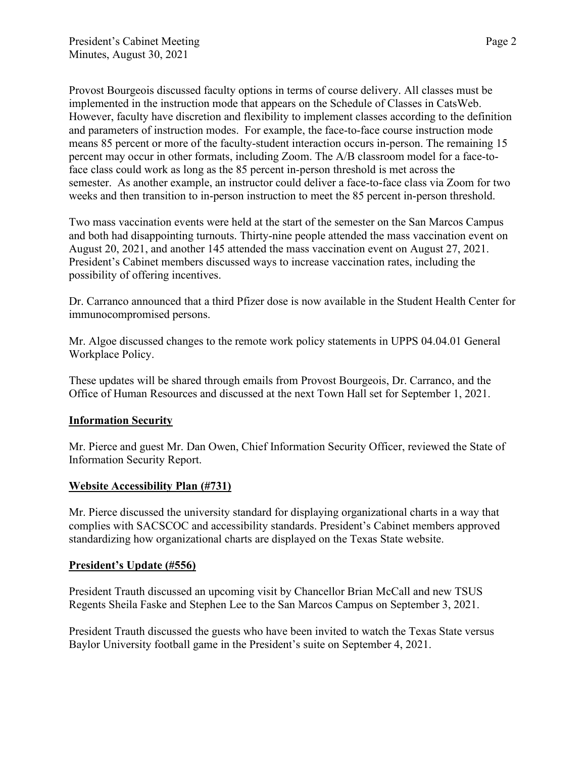Provost Bourgeois discussed faculty options in terms of course delivery. All classes must be implemented in the instruction mode that appears on the Schedule of Classes in CatsWeb. However, faculty have discretion and flexibility to implement classes according to the definition and parameters of instruction modes. For example, the face-to-face course instruction mode means 85 percent or more of the faculty-student interaction occurs in-person. The remaining 15 percent may occur in other formats, including Zoom. The A/B classroom model for a face-toface class could work as long as the 85 percent in-person threshold is met across the semester. As another example, an instructor could deliver a face-to-face class via Zoom for two weeks and then transition to in-person instruction to meet the 85 percent in-person threshold.

Two mass vaccination events were held at the start of the semester on the San Marcos Campus and both had disappointing turnouts. Thirty-nine people attended the mass vaccination event on August 20, 2021, and another 145 attended the mass vaccination event on August 27, 2021. President's Cabinet members discussed ways to increase vaccination rates, including the possibility of offering incentives.

Dr. Carranco announced that a third Pfizer dose is now available in the Student Health Center for immunocompromised persons.

Mr. Algoe discussed changes to the remote work policy statements in UPPS 04.04.01 General Workplace Policy.

These updates will be shared through emails from Provost Bourgeois, Dr. Carranco, and the Office of Human Resources and discussed at the next Town Hall set for September 1, 2021.

### **Information Security**

Mr. Pierce and guest Mr. Dan Owen, Chief Information Security Officer, reviewed the State of Information Security Report.

### **Website Accessibility Plan (#731)**

Mr. Pierce discussed the university standard for displaying organizational charts in a way that complies with SACSCOC and accessibility standards. President's Cabinet members approved standardizing how organizational charts are displayed on the Texas State website.

### **President's Update (#556)**

President Trauth discussed an upcoming visit by Chancellor Brian McCall and new TSUS Regents Sheila Faske and Stephen Lee to the San Marcos Campus on September 3, 2021.

President Trauth discussed the guests who have been invited to watch the Texas State versus Baylor University football game in the President's suite on September 4, 2021.